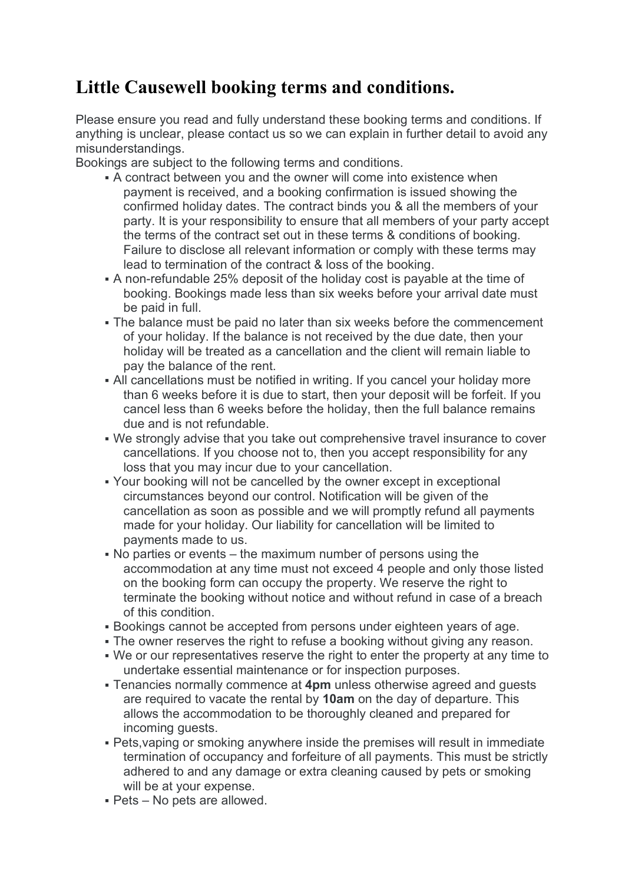## Little Causewell booking terms and conditions.

Please ensure you read and fully understand these booking terms and conditions. If anything is unclear, please contact us so we can explain in further detail to avoid any misunderstandings.

Bookings are subject to the following terms and conditions.

- A contract between you and the owner will come into existence when payment is received, and a booking confirmation is issued showing the confirmed holiday dates. The contract binds you & all the members of your party. It is your responsibility to ensure that all members of your party accept the terms of the contract set out in these terms & conditions of booking. Failure to disclose all relevant information or comply with these terms may lead to termination of the contract & loss of the booking.
- A non-refundable 25% deposit of the holiday cost is payable at the time of booking. Bookings made less than six weeks before your arrival date must be paid in full.
- The balance must be paid no later than six weeks before the commencement of your holiday. If the balance is not received by the due date, then your holiday will be treated as a cancellation and the client will remain liable to pay the balance of the rent.
- All cancellations must be notified in writing. If you cancel your holiday more than 6 weeks before it is due to start, then your deposit will be forfeit. If you cancel less than 6 weeks before the holiday, then the full balance remains due and is not refundable.
- We strongly advise that you take out comprehensive travel insurance to cover cancellations. If you choose not to, then you accept responsibility for any loss that you may incur due to your cancellation.
- Your booking will not be cancelled by the owner except in exceptional circumstances beyond our control. Notification will be given of the cancellation as soon as possible and we will promptly refund all payments made for your holiday. Our liability for cancellation will be limited to payments made to us.
- No parties or events the maximum number of persons using the accommodation at any time must not exceed 4 people and only those listed on the booking form can occupy the property. We reserve the right to terminate the booking without notice and without refund in case of a breach of this condition.
- Bookings cannot be accepted from persons under eighteen years of age.
- The owner reserves the right to refuse a booking without giving any reason.
- We or our representatives reserve the right to enter the property at any time to undertake essential maintenance or for inspection purposes.
- Tenancies normally commence at 4pm unless otherwise agreed and guests are required to vacate the rental by 10am on the day of departure. This allows the accommodation to be thoroughly cleaned and prepared for incoming guests.
- Pets,vaping or smoking anywhere inside the premises will result in immediate termination of occupancy and forfeiture of all payments. This must be strictly adhered to and any damage or extra cleaning caused by pets or smoking will be at your expense.
- Pets No pets are allowed.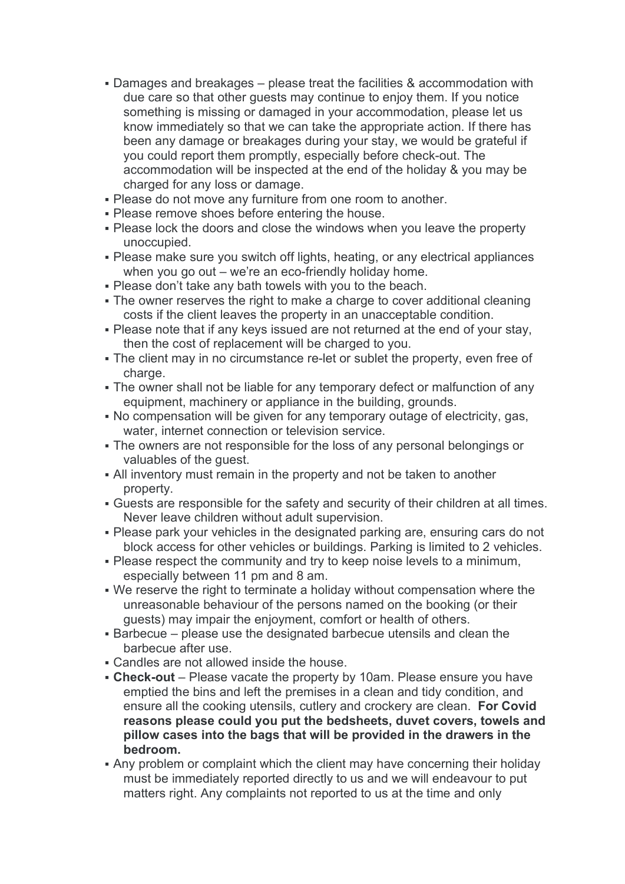- Damages and breakages please treat the facilities & accommodation with due care so that other guests may continue to enjoy them. If you notice something is missing or damaged in your accommodation, please let us know immediately so that we can take the appropriate action. If there has been any damage or breakages during your stay, we would be grateful if you could report them promptly, especially before check-out. The accommodation will be inspected at the end of the holiday & you may be charged for any loss or damage.
- Please do not move any furniture from one room to another.
- **Please remove shoes before entering the house.**
- Please lock the doors and close the windows when you leave the property unoccupied.
- Please make sure you switch off lights, heating, or any electrical appliances when you go out – we're an eco-friendly holiday home.
- Please don't take any bath towels with you to the beach.
- The owner reserves the right to make a charge to cover additional cleaning costs if the client leaves the property in an unacceptable condition.
- Please note that if any keys issued are not returned at the end of your stay, then the cost of replacement will be charged to you.
- The client may in no circumstance re-let or sublet the property, even free of charge.
- The owner shall not be liable for any temporary defect or malfunction of any equipment, machinery or appliance in the building, grounds.
- No compensation will be given for any temporary outage of electricity, gas, water, internet connection or television service.
- The owners are not responsible for the loss of any personal belongings or valuables of the guest.
- All inventory must remain in the property and not be taken to another property.
- Guests are responsible for the safety and security of their children at all times. Never leave children without adult supervision.
- Please park your vehicles in the designated parking are, ensuring cars do not block access for other vehicles or buildings. Parking is limited to 2 vehicles.
- Please respect the community and try to keep noise levels to a minimum, especially between 11 pm and 8 am.
- We reserve the right to terminate a holiday without compensation where the unreasonable behaviour of the persons named on the booking (or their guests) may impair the enjoyment, comfort or health of others.
- Barbecue please use the designated barbecue utensils and clean the barbecue after use.
- Candles are not allowed inside the house.
- Check-out Please vacate the property by 10am. Please ensure you have emptied the bins and left the premises in a clean and tidy condition, and ensure all the cooking utensils, cutlery and crockery are clean. For Covid reasons please could you put the bedsheets, duvet covers, towels and pillow cases into the bags that will be provided in the drawers in the bedroom.
- Any problem or complaint which the client may have concerning their holiday must be immediately reported directly to us and we will endeavour to put matters right. Any complaints not reported to us at the time and only